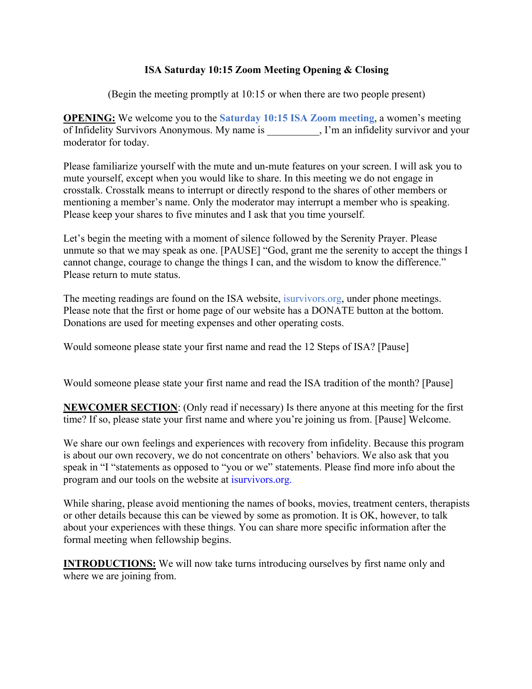## **ISA Saturday 10:15 Zoom Meeting Opening & Closing**

(Begin the meeting promptly at 10:15 or when there are two people present)

**OPENING:** We welcome you to the **Saturday 10:15 ISA Zoom meeting**, a women's meeting of Infidelity Survivors Anonymous. My name is  $\qquad \qquad$ , I'm an infidelity survivor and your moderator for today.

Please familiarize yourself with the mute and un-mute features on your screen. I will ask you to mute yourself, except when you would like to share. In this meeting we do not engage in crosstalk. Crosstalk means to interrupt or directly respond to the shares of other members or mentioning a member's name. Only the moderator may interrupt a member who is speaking. Please keep your shares to five minutes and I ask that you time yourself.

Let's begin the meeting with a moment of silence followed by the Serenity Prayer. Please unmute so that we may speak as one. [PAUSE] "God, grant me the serenity to accept the things I cannot change, courage to change the things I can, and the wisdom to know the difference." Please return to mute status.

The meeting readings are found on the ISA website, isurvivors.org, under phone meetings. Please note that the first or home page of our website has a DONATE button at the bottom. Donations are used for meeting expenses and other operating costs.

Would someone please state your first name and read the 12 Steps of ISA? [Pause]

Would someone please state your first name and read the ISA tradition of the month? [Pause]

**NEWCOMER SECTION**: (Only read if necessary) Is there anyone at this meeting for the first time? If so, please state your first name and where you're joining us from. [Pause] Welcome.

We share our own feelings and experiences with recovery from infidelity. Because this program is about our own recovery, we do not concentrate on others' behaviors. We also ask that you speak in "I "statements as opposed to "you or we" statements. Please find more info about the program and our tools on the website at isurvivors.org.

While sharing, please avoid mentioning the names of books, movies, treatment centers, therapists or other details because this can be viewed by some as promotion. It is OK, however, to talk about your experiences with these things. You can share more specific information after the formal meeting when fellowship begins.

**INTRODUCTIONS:** We will now take turns introducing ourselves by first name only and where we are joining from.